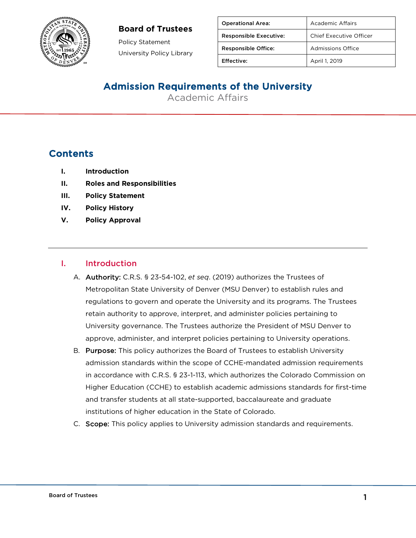### **Board of Trustees**



Policy Statement University Policy Library

| <b>Operational Area:</b>      | Academic Affairs        |
|-------------------------------|-------------------------|
| <b>Responsible Executive:</b> | Chief Executive Officer |
| <b>Responsible Office:</b>    | Admissions Office       |
| Effective:                    | April 1, 2019           |

## Admission Requirements of the University

Academic Affairs

## **Contents**

- **I. Introduction**
- **II. Roles and Responsibilities**
- **III. Policy Statement**
- **IV. Policy History**
- **V. Policy Approval**

#### I. Introduction

- A. Authority: C.R.S. § 23-54-102, *et seq*. (2019) authorizes the Trustees of Metropolitan State University of Denver (MSU Denver) to establish rules and regulations to govern and operate the University and its programs. The Trustees retain authority to approve, interpret, and administer policies pertaining to University governance. The Trustees authorize the President of MSU Denver to approve, administer, and interpret policies pertaining to University operations.
- B. Purpose: This policy authorizes the Board of Trustees to establish University admission standards within the scope of CCHE-mandated admission requirements in accordance with C.R.S. § 23-1-113, which authorizes the Colorado Commission on Higher Education (CCHE) to establish academic admissions standards for first-time and transfer students at all state-supported, baccalaureate and graduate institutions of higher education in the State of Colorado.
- C. Scope: This policy applies to University admission standards and requirements.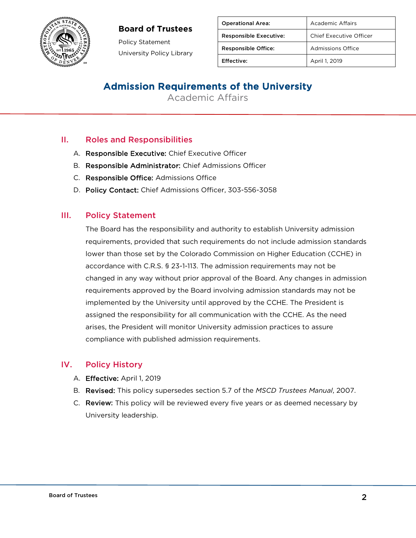### **Board of Trustees**



Policy Statement University Policy Library

| <b>Operational Area:</b>      | Academic Affairs         |
|-------------------------------|--------------------------|
| <b>Responsible Executive:</b> | Chief Executive Officer  |
| <b>Responsible Office:</b>    | <b>Admissions Office</b> |
| Effective:                    | April 1, 2019            |
|                               |                          |

## Admission Requirements of the University

Academic Affairs

### II. Roles and Responsibilities

- A. Responsible Executive: Chief Executive Officer
- B. Responsible Administrator: Chief Admissions Officer
- C. Responsible Office: Admissions Office
- D. Policy Contact: Chief Admissions Officer, 303-556-3058

#### III. Policy Statement

The Board has the responsibility and authority to establish University admission requirements, provided that such requirements do not include admission standards lower than those set by the Colorado Commission on Higher Education (CCHE) in accordance with C.R.S. § 23-1-113. The admission requirements may not be changed in any way without prior approval of the Board. Any changes in admission requirements approved by the Board involving admission standards may not be implemented by the University until approved by the CCHE. The President is assigned the responsibility for all communication with the CCHE. As the need arises, the President will monitor University admission practices to assure compliance with published admission requirements.

#### IV. Policy History

- A. Effective: April 1, 2019
- B. Revised: This policy supersedes section 5.7 of the *MSCD Trustees Manual*, 2007.
- C. Review: This policy will be reviewed every five years or as deemed necessary by University leadership.